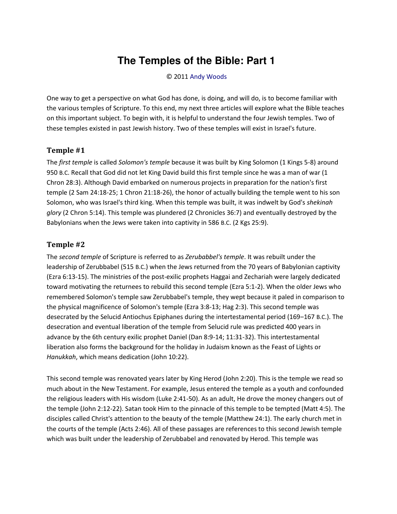# **The Temples of the Bible: Part 1**

#### © 2011 [Andy Woods](http://www.spiritandtruth.org/id/aw.htm)

One way to get a perspective on what God has done, is doing, and will do, is to become familiar with the various temples of Scripture. To this end, my next three articles will explore what the Bible teaches on this important subject. To begin with, it is helpful to understand the four Jewish temples. Two of these temples existed in past Jewish history. Two of these temples will exist in Israel's future.

### **Temple #1**

The *first temple* is called *Solomon's temple* because it was built by King Solomon (1 Kings 5-8) around 950 B.C. Recall that God did not let King David build this first temple since he was a man of war (1 Chron 28:3). Although David embarked on numerous projects in preparation for the nation's first temple (2 Sam 24:18-25; 1 Chron 21:18-26), the honor of actually building the temple went to his son Solomon, who was Israel's third king. When this temple was built, it was indwelt by God's *shekinah glory* (2 Chron 5:14). This temple was plundered (2 Chronicles 36:7) and eventually destroyed by the Babylonians when the Jews were taken into captivity in 586 B.C. (2 Kgs 25:9).

### **Temple #2**

The *second temple* of Scripture is referred to as *Zerubabbel's temple*. It was rebuilt under the leadership of Zerubbabel (515 B.C.) when the Jews returned from the 70 years of Babylonian captivity (Ezra 6:13-15). The ministries of the post-exilic prophets Haggai and Zechariah were largely dedicated toward motivating the returnees to rebuild this second temple (Ezra 5:1-2). When the older Jews who remembered Solomon's temple saw Zerubbabel's temple, they wept because it paled in comparison to the physical magnificence of Solomon's temple (Ezra 3:8-13; Hag 2:3). This second temple was desecrated by the Selucid Antiochus Epiphanes during the intertestamental period (169–167 B.C.). The desecration and eventual liberation of the temple from Selucid rule was predicted 400 years in advance by the 6th century exilic prophet Daniel (Dan 8:9-14; 11:31-32). This intertestamental liberation also forms the background for the holiday in Judaism known as the Feast of Lights or *Hanukkah*, which means dedication (John 10:22).

This second temple was renovated years later by King Herod (John 2:20). This is the temple we read so much about in the New Testament. For example, Jesus entered the temple as a youth and confounded the religious leaders with His wisdom (Luke 2:41-50). As an adult, He drove the money changers out of the temple (John 2:12-22). Satan took Him to the pinnacle of this temple to be tempted (Matt 4:5). The disciples called Christ's attention to the beauty of the temple (Matthew 24:1). The early church met in the courts of the temple (Acts 2:46). All of these passages are references to this second Jewish temple which was built under the leadership of Zerubbabel and renovated by Herod. This temple was